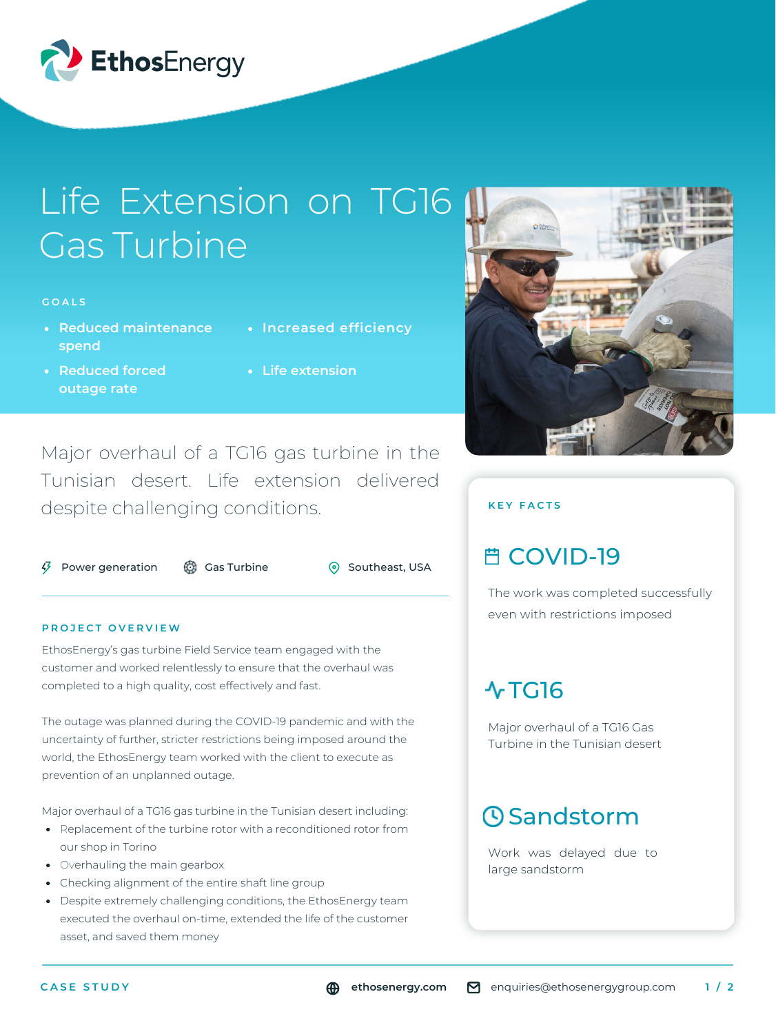

# Life Extension on TG16 Gas Turbine

#### **G O A L S**

- **Reduced maintenance spend**
- **Reduced forced outage rate**
- **Increased efficiency**
- **Life extension**

Major overhaul of a TG16 gas turbine in the Tunisian desert. Life extension delivered despite challenging conditions.

 $\sqrt{3}$  Power generation  $\frac{3}{2}$  Gas Turbine  $\frac{3}{2}$  Southeast, USA

#### **P R O J E C T O V E R V I E W**

EthosEnergy's gas turbine Field Service team engaged with the customer and worked relentlessly to ensure that the overhaul was completed to a high quality, cost effectively and fast.

The outage was planned during the COVID-19 pandemic and with the uncertainty of further, stricter restrictions being imposed around the world, the EthosEnergy team worked with the client to execute as prevention of an unplanned outage.

Major overhaul of a TG16 gas turbine in the Tunisian desert including:

- Replacement of the turbine rotor with a reconditioned rotor from our shop in Torino
- Overhauling the main gearbox
- Checking alignment of the entire shaft line group
- Despite extremely challenging conditions, the EthosEnergy team executed the overhaul on-time, extended the life of the customer asset, and saved them money



### **K E Y F A C T S**

## **曲 COVID-19**

The work was completed successfully even with restrictions imposed

## $\sqrt{TC}$ 16

Major overhaul of a TG16 Gas Turbine in the Tunisian desert

# **O**Sandstorm

Work was delayed due to large sandstorm

**ethosenergy.com** enquiries@ethosenergygroup.com **1 / 2**